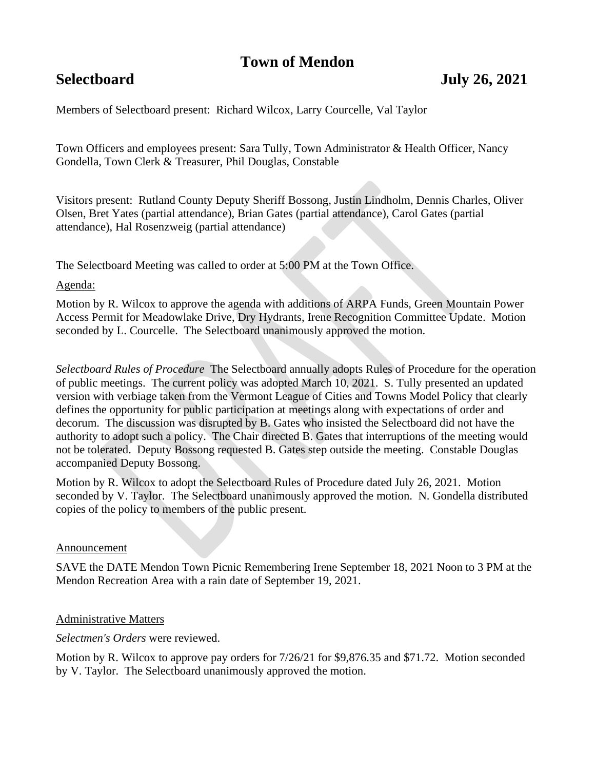## **Town of Mendon**

## **Selectboard July 26, 2021**

Members of Selectboard present: Richard Wilcox, Larry Courcelle, Val Taylor

Town Officers and employees present: Sara Tully, Town Administrator & Health Officer, Nancy Gondella, Town Clerk & Treasurer, Phil Douglas, Constable

Visitors present: Rutland County Deputy Sheriff Bossong, Justin Lindholm, Dennis Charles, Oliver Olsen, Bret Yates (partial attendance), Brian Gates (partial attendance), Carol Gates (partial attendance), Hal Rosenzweig (partial attendance)

The Selectboard Meeting was called to order at 5:00 PM at the Town Office.

#### Agenda:

Motion by R. Wilcox to approve the agenda with additions of ARPA Funds, Green Mountain Power Access Permit for Meadowlake Drive, Dry Hydrants, Irene Recognition Committee Update. Motion seconded by L. Courcelle. The Selectboard unanimously approved the motion.

*Selectboard Rules of Procedure* The Selectboard annually adopts Rules of Procedure for the operation of public meetings. The current policy was adopted March 10, 2021. S. Tully presented an updated version with verbiage taken from the Vermont League of Cities and Towns Model Policy that clearly defines the opportunity for public participation at meetings along with expectations of order and decorum. The discussion was disrupted by B. Gates who insisted the Selectboard did not have the authority to adopt such a policy. The Chair directed B. Gates that interruptions of the meeting would not be tolerated. Deputy Bossong requested B. Gates step outside the meeting. Constable Douglas accompanied Deputy Bossong.

Motion by R. Wilcox to adopt the Selectboard Rules of Procedure dated July 26, 2021. Motion seconded by V. Taylor. The Selectboard unanimously approved the motion. N. Gondella distributed copies of the policy to members of the public present.

#### Announcement

SAVE the DATE Mendon Town Picnic Remembering Irene September 18, 2021 Noon to 3 PM at the Mendon Recreation Area with a rain date of September 19, 2021.

#### Administrative Matters

*Selectmen's Orders* were reviewed.

Motion by R. Wilcox to approve pay orders for 7/26/21 for \$9,876.35 and \$71.72. Motion seconded by V. Taylor. The Selectboard unanimously approved the motion.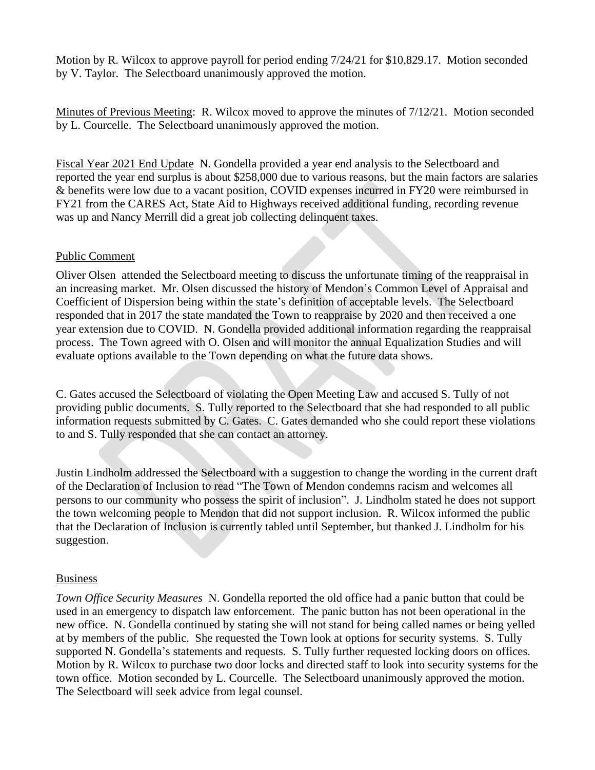Motion by R. Wilcox to approve payroll for period ending 7/24/21 for \$10,829.17. Motion seconded by V. Taylor. The Selectboard unanimously approved the motion.

Minutes of Previous Meeting: R. Wilcox moved to approve the minutes of 7/12/21. Motion seconded by L. Courcelle. The Selectboard unanimously approved the motion.

Fiscal Year 2021 End Update N. Gondella provided a year end analysis to the Selectboard and reported the year end surplus is about \$258,000 due to various reasons, but the main factors are salaries & benefits were low due to a vacant position, COVID expenses incurred in FY20 were reimbursed in FY21 from the CARES Act, State Aid to Highways received additional funding, recording revenue was up and Nancy Merrill did a great job collecting delinquent taxes.

#### Public Comment

Oliver Olsen attended the Selectboard meeting to discuss the unfortunate timing of the reappraisal in an increasing market. Mr. Olsen discussed the history of Mendon's Common Level of Appraisal and Coefficient of Dispersion being within the state's definition of acceptable levels. The Selectboard responded that in 2017 the state mandated the Town to reappraise by 2020 and then received a one year extension due to COVID. N. Gondella provided additional information regarding the reappraisal process. The Town agreed with O. Olsen and will monitor the annual Equalization Studies and will evaluate options available to the Town depending on what the future data shows.

C. Gates accused the Selectboard of violating the Open Meeting Law and accused S. Tully of not providing public documents. S. Tully reported to the Selectboard that she had responded to all public information requests submitted by C. Gates. C. Gates demanded who she could report these violations to and S. Tully responded that she can contact an attorney.

Justin Lindholm addressed the Selectboard with a suggestion to change the wording in the current draft of the Declaration of Inclusion to read "The Town of Mendon condemns racism and welcomes all persons to our community who possess the spirit of inclusion". J. Lindholm stated he does not support the town welcoming people to Mendon that did not support inclusion. R. Wilcox informed the public that the Declaration of Inclusion is currently tabled until September, but thanked J. Lindholm for his suggestion.

### Business

*Town Office Security Measures* N. Gondella reported the old office had a panic button that could be used in an emergency to dispatch law enforcement. The panic button has not been operational in the new office. N. Gondella continued by stating she will not stand for being called names or being yelled at by members of the public. She requested the Town look at options for security systems. S. Tully supported N. Gondella's statements and requests. S. Tully further requested locking doors on offices. Motion by R. Wilcox to purchase two door locks and directed staff to look into security systems for the town office. Motion seconded by L. Courcelle. The Selectboard unanimously approved the motion. The Selectboard will seek advice from legal counsel.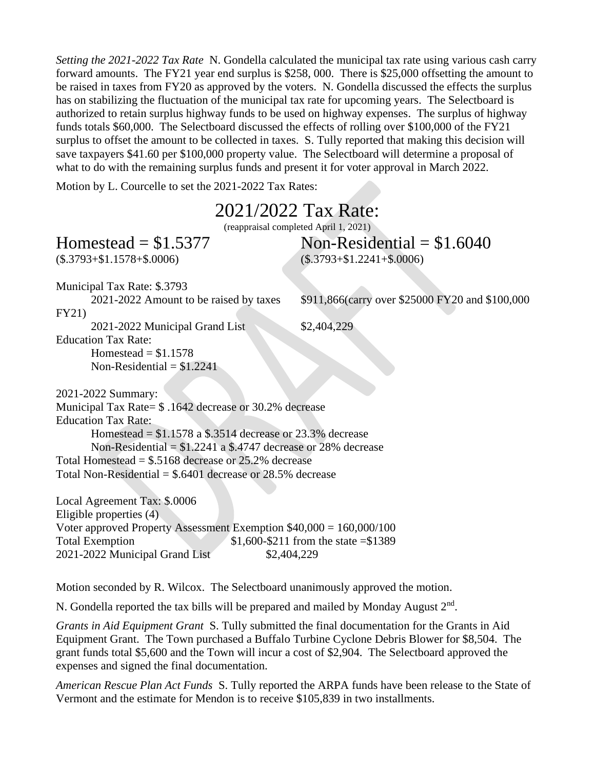*Setting the 2021-2022 Tax Rate* N. Gondella calculated the municipal tax rate using various cash carry forward amounts. The FY21 year end surplus is \$258, 000. There is \$25,000 offsetting the amount to be raised in taxes from FY20 as approved by the voters. N. Gondella discussed the effects the surplus has on stabilizing the fluctuation of the municipal tax rate for upcoming years. The Selectboard is authorized to retain surplus highway funds to be used on highway expenses. The surplus of highway funds totals \$60,000. The Selectboard discussed the effects of rolling over \$100,000 of the FY21 surplus to offset the amount to be collected in taxes. S. Tully reported that making this decision will save taxpayers \$41.60 per \$100,000 property value. The Selectboard will determine a proposal of what to do with the remaining surplus funds and present it for voter approval in March 2022.

Motion by L. Courcelle to set the 2021-2022 Tax Rates:

# 2021/2022 Tax Rate:

(reappraisal completed April 1, 2021)

 $Homested = $1,5377$  Non-Residential = \$1.6040  $(*.3793 + $1.1578 + $0.006)$   $(*.3793 + $1.2241 + $0.006)$ 

Homestead  $= $1.1578$ Non-Residential  $= $1.2241$ 

Municipal Tax Rate: \$.3793 FY21) 2021-2022 Municipal Grand List \$2,404,229

2021-2022 Amount to be raised by taxes \$911,866(carry over \$25000 FY20 and \$100,000

2021-2022 Summary:

Education Tax Rate:

Municipal Tax Rate= \$ .1642 decrease or 30.2% decrease Education Tax Rate: Homestead  $= $1.1578$  a \$.3514 decrease or 23.3% decrease

Non-Residential  $= $1.2241$  a \$.4747 decrease or 28% decrease Total Homestead = \$.5168 decrease or 25.2% decrease

Total Non-Residential = \$.6401 decrease or 28.5% decrease

Local Agreement Tax: \$.0006 Eligible properties (4) Voter approved Property Assessment Exemption  $$40,000 = 160,000/100$ Total Exemption  $$1,600-$211$  from the state  $= $1389$ 2021-2022 Municipal Grand List \$2,404,229

Motion seconded by R. Wilcox. The Selectboard unanimously approved the motion.

N. Gondella reported the tax bills will be prepared and mailed by Monday August  $2<sup>nd</sup>$ .

*Grants in Aid Equipment Grant* S. Tully submitted the final documentation for the Grants in Aid Equipment Grant. The Town purchased a Buffalo Turbine Cyclone Debris Blower for \$8,504. The grant funds total \$5,600 and the Town will incur a cost of \$2,904. The Selectboard approved the expenses and signed the final documentation.

*American Rescue Plan Act Funds* S. Tully reported the ARPA funds have been release to the State of Vermont and the estimate for Mendon is to receive \$105,839 in two installments.